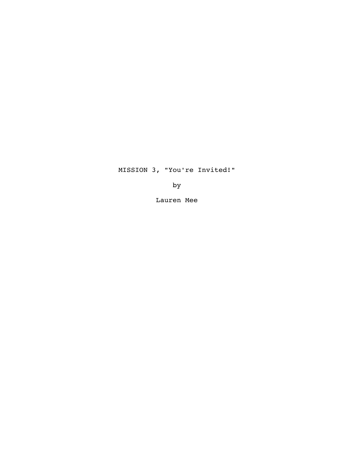# MISSION 3, "You're Invited!"

by

Lauren Mee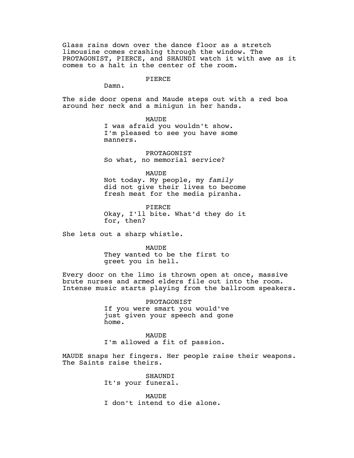Glass rains down over the dance floor as a stretch limousine comes crashing through the window. The PROTAGONIST, PIERCE, and SHAUNDI watch it with awe as it comes to a halt in the center of the room.

#### PIERCE

Damn.

The side door opens and Maude steps out with a red boa around her neck and a minigun in her hands.

> MAUDE I was afraid you wouldn't show. I'm pleased to see you have some manners.

PROTAGONIST So what, no memorial service?

MAUDE Not today. My people, my *family* did not give their lives to become fresh meat for the media piranha.

PIERCE Okay, I'll bite. What'd they do it for, then?

She lets out a sharp whistle.

MAUDE

They wanted to be the first to greet you in hell.

Every door on the limo is thrown open at once, massive brute nurses and armed elders file out into the room. Intense music starts playing from the ballroom speakers.

> PROTAGONIST If you were smart you would've just given your speech and gone home.

MAUDE I'm allowed a fit of passion.

MAUDE snaps her fingers. Her people raise their weapons. The Saints raise theirs.

> SHAUNDI It's your funeral.

MAUDE I don't intend to die alone.